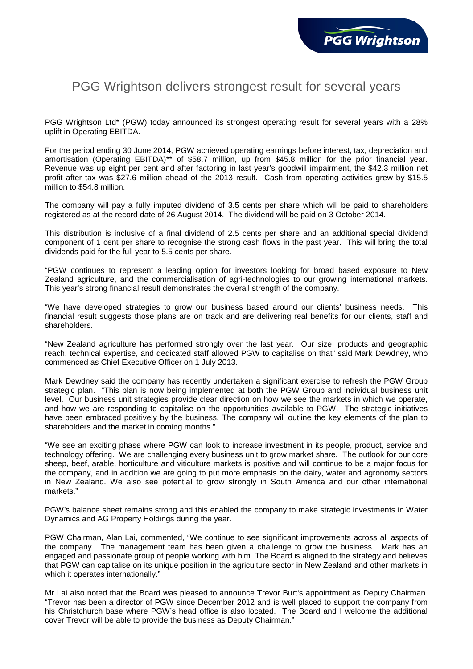## PGG Wrightson delivers strongest result for several years

PGG Wrightson Ltd\* (PGW) today announced its strongest operating result for several years with a 28% uplift in Operating EBITDA.

For the period ending 30 June 2014, PGW achieved operating earnings before interest, tax, depreciation and amortisation (Operating EBITDA)\*\* of \$58.7 million, up from \$45.8 million for the prior financial year. Revenue was up eight per cent and after factoring in last year's goodwill impairment, the \$42.3 million net profit after tax was \$27.6 million ahead of the 2013 result. Cash from operating activities grew by \$15.5 million to \$54.8 million.

The company will pay a fully imputed dividend of 3.5 cents per share which will be paid to shareholders registered as at the record date of 26 August 2014. The dividend will be paid on 3 October 2014.

This distribution is inclusive of a final dividend of 2.5 cents per share and an additional special dividend component of 1 cent per share to recognise the strong cash flows in the past year. This will bring the total dividends paid for the full year to 5.5 cents per share.

"PGW continues to represent a leading option for investors looking for broad based exposure to New Zealand agriculture, and the commercialisation of agri-technologies to our growing international markets. This year's strong financial result demonstrates the overall strength of the company.

"We have developed strategies to grow our business based around our clients' business needs. This financial result suggests those plans are on track and are delivering real benefits for our clients, staff and shareholders.

"New Zealand agriculture has performed strongly over the last year. Our size, products and geographic reach, technical expertise, and dedicated staff allowed PGW to capitalise on that" said Mark Dewdney, who commenced as Chief Executive Officer on 1 July 2013.

Mark Dewdney said the company has recently undertaken a significant exercise to refresh the PGW Group strategic plan. "This plan is now being implemented at both the PGW Group and individual business unit level. Our business unit strategies provide clear direction on how we see the markets in which we operate, and how we are responding to capitalise on the opportunities available to PGW. The strategic initiatives have been embraced positively by the business. The company will outline the key elements of the plan to shareholders and the market in coming months."

"We see an exciting phase where PGW can look to increase investment in its people, product, service and technology offering. We are challenging every business unit to grow market share. The outlook for our core sheep, beef, arable, horticulture and viticulture markets is positive and will continue to be a major focus for the company, and in addition we are going to put more emphasis on the dairy, water and agronomy sectors in New Zealand. We also see potential to grow strongly in South America and our other international markets."

PGW's balance sheet remains strong and this enabled the company to make strategic investments in Water Dynamics and AG Property Holdings during the year.

PGW Chairman, Alan Lai, commented, "We continue to see significant improvements across all aspects of the company. The management team has been given a challenge to grow the business. Mark has an engaged and passionate group of people working with him. The Board is aligned to the strategy and believes that PGW can capitalise on its unique position in the agriculture sector in New Zealand and other markets in which it operates internationally."

Mr Lai also noted that the Board was pleased to announce Trevor Burt's appointment as Deputy Chairman. "Trevor has been a director of PGW since December 2012 and is well placed to support the company from his Christchurch base where PGW's head office is also located. The Board and I welcome the additional cover Trevor will be able to provide the business as Deputy Chairman."